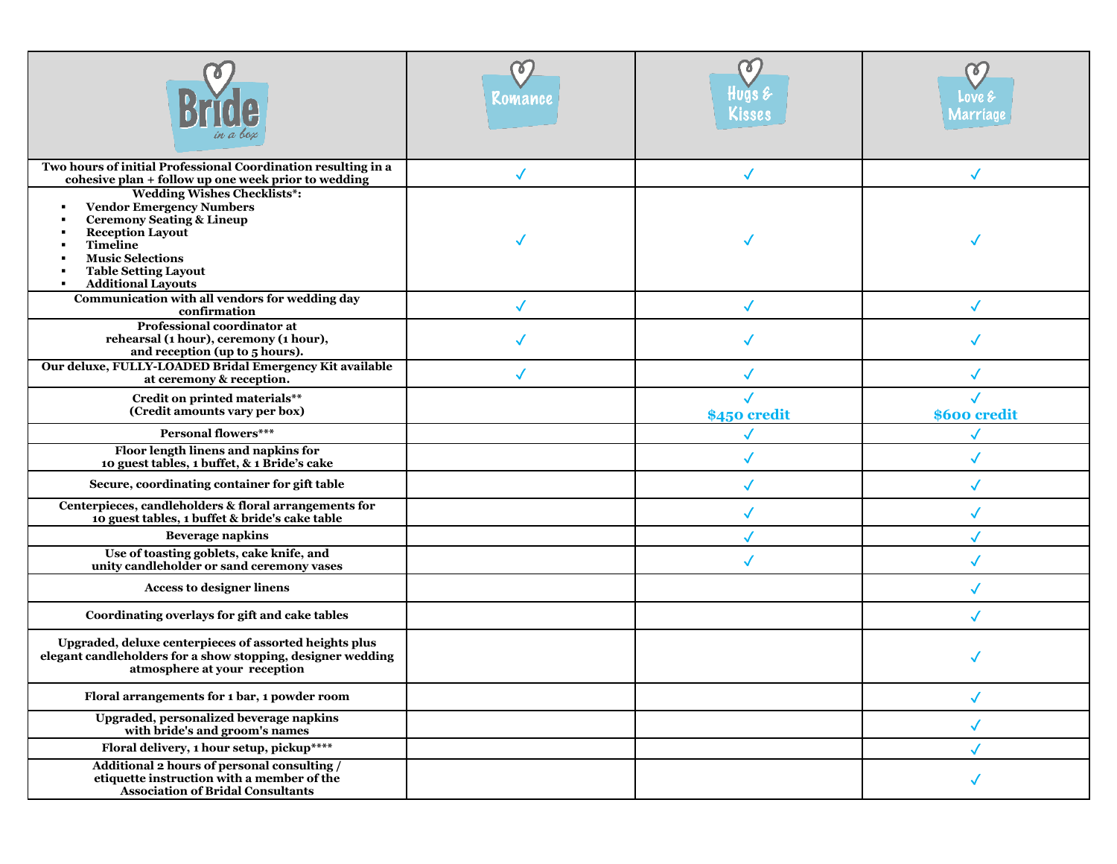|                                                                                                                                                                                                                                                                      | Ō.<br>Komance | KISSE!               | LOVE<br>narriag |
|----------------------------------------------------------------------------------------------------------------------------------------------------------------------------------------------------------------------------------------------------------------------|---------------|----------------------|-----------------|
| Two hours of initial Professional Coordination resulting in a<br>cohesive plan + follow up one week prior to wedding                                                                                                                                                 | $\checkmark$  | $\blacktriangledown$ |                 |
| <b>Wedding Wishes Checklists*:</b><br><b>Vendor Emergency Numbers</b><br>$\blacksquare$<br><b>Ceremony Seating &amp; Lineup</b><br><b>Reception Layout</b><br><b>Timeline</b><br><b>Music Selections</b><br><b>Table Setting Layout</b><br><b>Additional Layouts</b> |               |                      |                 |
| Communication with all vendors for wedding day<br>confirmation                                                                                                                                                                                                       | ✓             | $\sqrt{2}$           |                 |
| Professional coordinator at<br>rehearsal (1 hour), ceremony (1 hour),<br>and reception (up to 5 hours).                                                                                                                                                              |               |                      |                 |
| Our deluxe, FULLY-LOADED Bridal Emergency Kit available<br>at ceremony & reception.                                                                                                                                                                                  |               |                      |                 |
| Credit on printed materials**<br>(Credit amounts vary per box)                                                                                                                                                                                                       |               | \$450 credit         | \$600 credit    |
| <b>Personal flowers***</b>                                                                                                                                                                                                                                           |               |                      |                 |
| Floor length linens and napkins for<br>10 guest tables, 1 buffet, & 1 Bride's cake                                                                                                                                                                                   |               |                      |                 |
| Secure, coordinating container for gift table                                                                                                                                                                                                                        |               |                      |                 |
| Centerpieces, candleholders & floral arrangements for<br>10 guest tables, 1 buffet & bride's cake table                                                                                                                                                              |               |                      |                 |
| <b>Beverage napkins</b>                                                                                                                                                                                                                                              |               |                      |                 |
| Use of toasting goblets, cake knife, and<br>unity candleholder or sand ceremony vases                                                                                                                                                                                |               | $\checkmark$         |                 |
| <b>Access to designer linens</b>                                                                                                                                                                                                                                     |               |                      |                 |
| Coordinating overlays for gift and cake tables                                                                                                                                                                                                                       |               |                      |                 |
| Upgraded, deluxe centerpieces of assorted heights plus<br>elegant candleholders for a show stopping, designer wedding<br>atmosphere at your reception                                                                                                                |               |                      |                 |
| Floral arrangements for 1 bar, 1 powder room                                                                                                                                                                                                                         |               |                      |                 |
| Upgraded, personalized beverage napkins<br>with bride's and groom's names                                                                                                                                                                                            |               |                      | $\checkmark$    |
| Floral delivery, 1 hour setup, pickup****                                                                                                                                                                                                                            |               |                      |                 |
| Additional 2 hours of personal consulting /<br>etiquette instruction with a member of the<br><b>Association of Bridal Consultants</b>                                                                                                                                |               |                      |                 |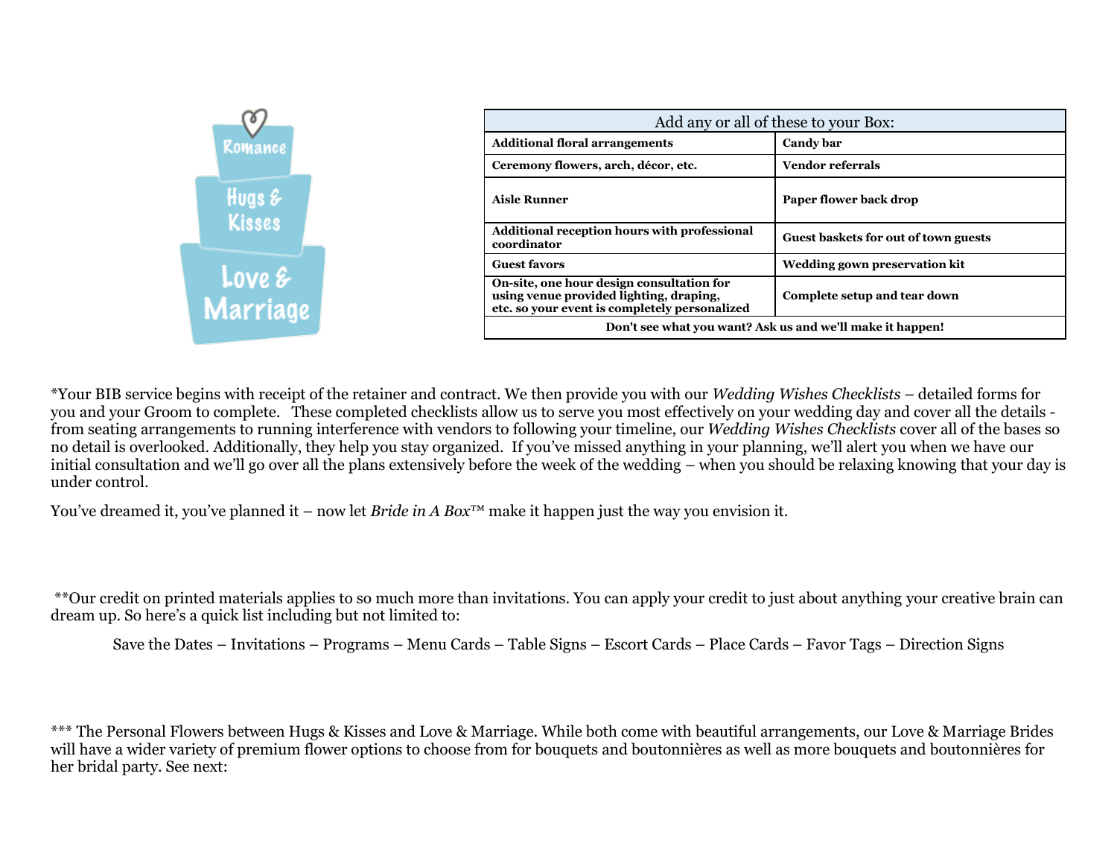

\*Your BIB service begins with receipt of the retainer and contract. We then provide you with our *Wedding Wishes Checklists* – detailed forms for you and your Groom to complete. These completed checklists allow us to serve you most effectively on your wedding day and cover all the details from seating arrangements to running interference with vendors to following your timeline, our *Wedding Wishes Checklists* cover all of the bases so no detail is overlooked. Additionally, they help you stay organized. If you've missed anything in your planning, we'll alert you when we have our initial consultation and we'll go over all the plans extensively before the week of the wedding – when you should be relaxing knowing that your day is under control.

You've dreamed it, you've planned it – now let *Bride in A Box*™ make it happen just the way you envision it.

\*\*Our credit on printed materials applies to so much more than invitations. You can apply your credit to just about anything your creative brain can dream up. So here's a quick list including but not limited to:

Save the Dates – Invitations – Programs – Menu Cards – Table Signs – Escort Cards – Place Cards – Favor Tags – Direction Signs

\*\*\* The Personal Flowers between Hugs & Kisses and Love & Marriage. While both come with beautiful arrangements, our Love & Marriage Brides will have a wider variety of premium flower options to choose from for bouquets and boutonnières as well as more bouquets and boutonnières for her bridal party. See next: